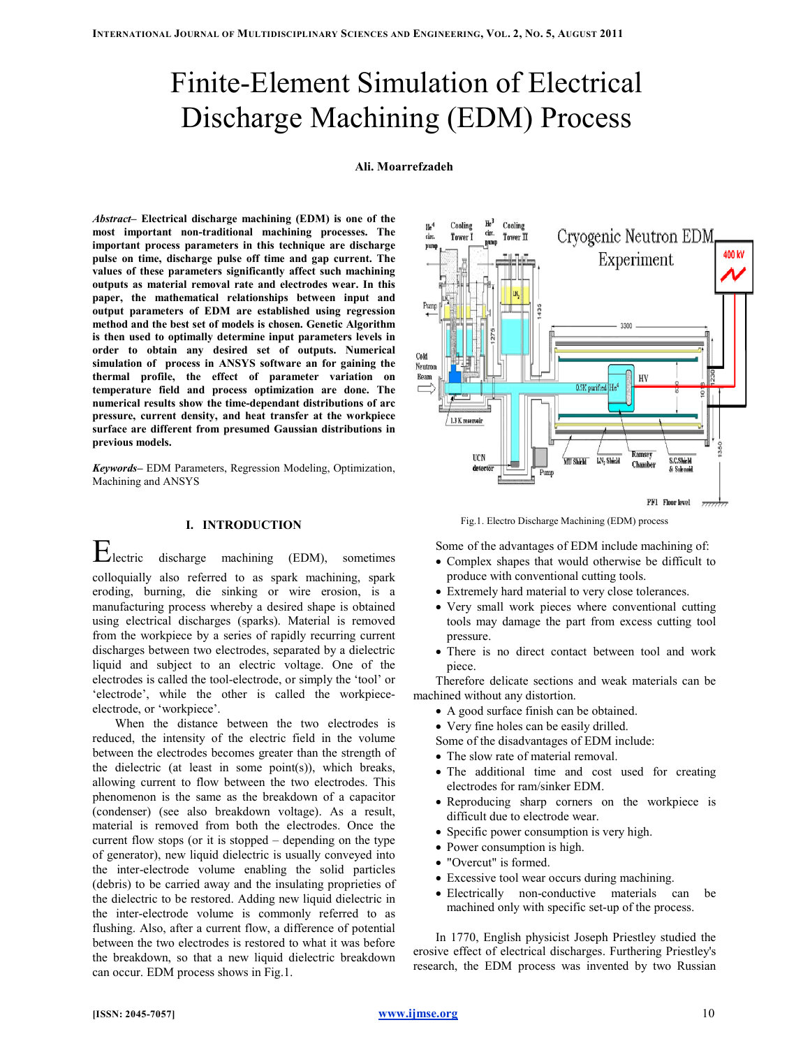# Finite-Element Simulation of Electrical Discharge Machining (EDM) Process

# Ali. Moarrefzadeh

Abstract– Electrical discharge machining (EDM) is one of the most important non-traditional machining processes. The important process parameters in this technique are discharge pulse on time, discharge pulse off time and gap current. The values of these parameters significantly affect such machining outputs as material removal rate and electrodes wear. In this paper, the mathematical relationships between input and output parameters of EDM are established using regression method and the best set of models is chosen. Genetic Algorithm is then used to optimally determine input parameters levels in order to obtain any desired set of outputs. Numerical simulation of process in ANSYS software an for gaining the thermal profile, the effect of parameter variation on temperature field and process optimization are done. The numerical results show the time-dependant distributions of arc pressure, current density, and heat transfer at the workpiece surface are different from presumed Gaussian distributions in previous models.

Keywords– EDM Parameters, Regression Modeling, Optimization, Machining and ANSYS

# I. INTRODUCTION

Electric discharge machining (EDM), sometimes colloquially also referred to as spark machining, spark eroding, burning, die sinking or wire erosion, is a manufacturing process whereby a desired shape is obtained using electrical discharges (sparks). Material is removed from the workpiece by a series of rapidly recurring current discharges between two electrodes, separated by a dielectric liquid and subject to an electric voltage. One of the electrodes is called the tool-electrode, or simply the 'tool' or 'electrode', while the other is called the workpieceelectrode, or 'workpiece'.

When the distance between the two electrodes is reduced, the intensity of the electric field in the volume between the electrodes becomes greater than the strength of the dielectric (at least in some point(s)), which breaks, allowing current to flow between the two electrodes. This phenomenon is the same as the breakdown of a capacitor (condenser) (see also breakdown voltage). As a result, material is removed from both the electrodes. Once the current flow stops (or it is stopped – depending on the type of generator), new liquid dielectric is usually conveyed into the inter-electrode volume enabling the solid particles (debris) to be carried away and the insulating proprieties of the dielectric to be restored. Adding new liquid dielectric in the inter-electrode volume is commonly referred to as flushing. Also, after a current flow, a difference of potential between the two electrodes is restored to what it was before the breakdown, so that a new liquid dielectric breakdown can occur. EDM process shows in Fig.1.



Fig.1. Electro Discharge Machining (EDM) process

Some of the advantages of EDM include machining of:

- Complex shapes that would otherwise be difficult to produce with conventional cutting tools.
- Extremely hard material to very close tolerances.
- Very small work pieces where conventional cutting tools may damage the part from excess cutting tool pressure.
- There is no direct contact between tool and work piece.

Therefore delicate sections and weak materials can be machined without any distortion.

- A good surface finish can be obtained.
- Very fine holes can be easily drilled.
- Some of the disadvantages of EDM include:
- The slow rate of material removal.
- The additional time and cost used for creating electrodes for ram/sinker EDM.
- Reproducing sharp corners on the workpiece is difficult due to electrode wear.
- Specific power consumption is very high.
- Power consumption is high.
- "Overcut" is formed.
- Excessive tool wear occurs during machining.
- Electrically non-conductive materials can be machined only with specific set-up of the process.

In 1770, English physicist Joseph Priestley studied the erosive effect of electrical discharges. Furthering Priestley's research, the EDM process was invented by two Russian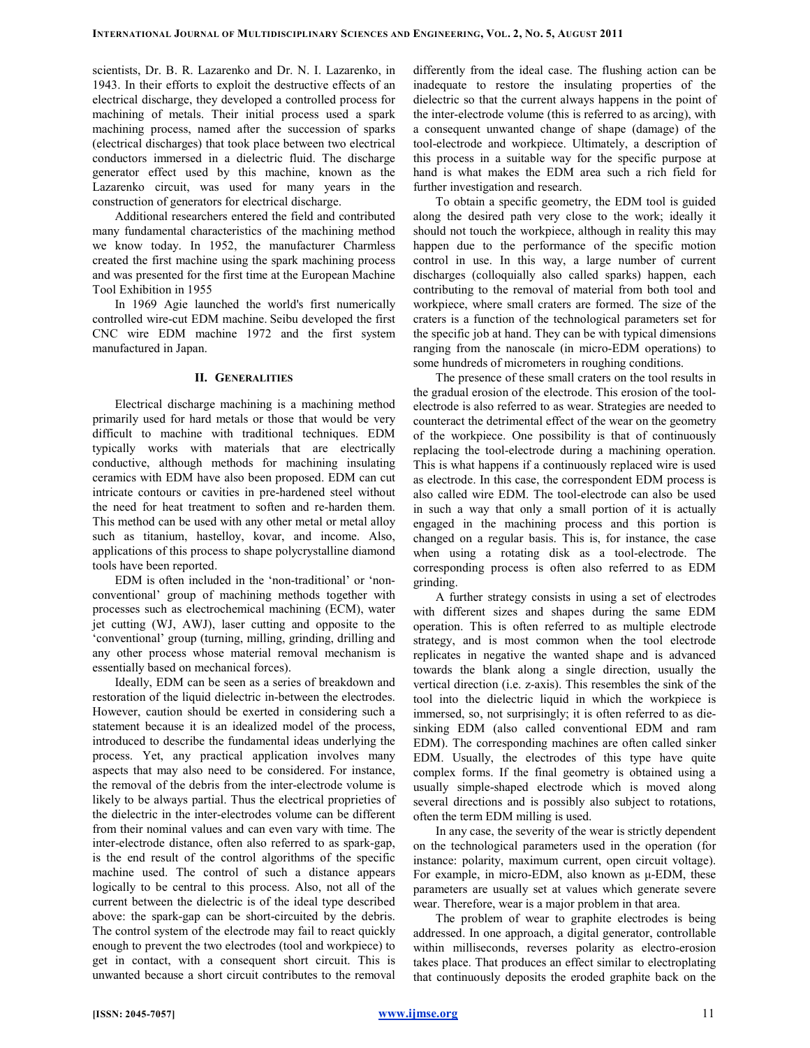scientists, Dr. B. R. Lazarenko and Dr. N. I. Lazarenko, in 1943. In their efforts to exploit the destructive effects of an electrical discharge, they developed a controlled process for machining of metals. Their initial process used a spark machining process, named after the succession of sparks (electrical discharges) that took place between two electrical conductors immersed in a dielectric fluid. The discharge generator effect used by this machine, known as the Lazarenko circuit, was used for many years in the construction of generators for electrical discharge.

Additional researchers entered the field and contributed many fundamental characteristics of the machining method we know today. In 1952, the manufacturer Charmless created the first machine using the spark machining process and was presented for the first time at the European Machine Tool Exhibition in 1955

In 1969 Agie launched the world's first numerically controlled wire-cut EDM machine. Seibu developed the first CNC wire EDM machine 1972 and the first system manufactured in Japan.

### II. GENERALITIES

Electrical discharge machining is a machining method primarily used for hard metals or those that would be very difficult to machine with traditional techniques. EDM typically works with materials that are electrically conductive, although methods for machining insulating ceramics with EDM have also been proposed. EDM can cut intricate contours or cavities in pre-hardened steel without the need for heat treatment to soften and re-harden them. This method can be used with any other metal or metal alloy such as titanium, hastelloy, kovar, and income. Also, applications of this process to shape polycrystalline diamond tools have been reported.

EDM is often included in the 'non-traditional' or 'nonconventional' group of machining methods together with processes such as electrochemical machining (ECM), water jet cutting (WJ, AWJ), laser cutting and opposite to the 'conventional' group (turning, milling, grinding, drilling and any other process whose material removal mechanism is essentially based on mechanical forces).

Ideally, EDM can be seen as a series of breakdown and restoration of the liquid dielectric in-between the electrodes. However, caution should be exerted in considering such a statement because it is an idealized model of the process, introduced to describe the fundamental ideas underlying the process. Yet, any practical application involves many aspects that may also need to be considered. For instance, the removal of the debris from the inter-electrode volume is likely to be always partial. Thus the electrical proprieties of the dielectric in the inter-electrodes volume can be different from their nominal values and can even vary with time. The inter-electrode distance, often also referred to as spark-gap, is the end result of the control algorithms of the specific machine used. The control of such a distance appears logically to be central to this process. Also, not all of the current between the dielectric is of the ideal type described above: the spark-gap can be short-circuited by the debris. The control system of the electrode may fail to react quickly enough to prevent the two electrodes (tool and workpiece) to get in contact, with a consequent short circuit. This is unwanted because a short circuit contributes to the removal differently from the ideal case. The flushing action can be inadequate to restore the insulating properties of the dielectric so that the current always happens in the point of the inter-electrode volume (this is referred to as arcing), with a consequent unwanted change of shape (damage) of the tool-electrode and workpiece. Ultimately, a description of this process in a suitable way for the specific purpose at hand is what makes the EDM area such a rich field for further investigation and research.

To obtain a specific geometry, the EDM tool is guided along the desired path very close to the work; ideally it should not touch the workpiece, although in reality this may happen due to the performance of the specific motion control in use. In this way, a large number of current discharges (colloquially also called sparks) happen, each contributing to the removal of material from both tool and workpiece, where small craters are formed. The size of the craters is a function of the technological parameters set for the specific job at hand. They can be with typical dimensions ranging from the nanoscale (in micro-EDM operations) to some hundreds of micrometers in roughing conditions.

The presence of these small craters on the tool results in the gradual erosion of the electrode. This erosion of the toolelectrode is also referred to as wear. Strategies are needed to counteract the detrimental effect of the wear on the geometry of the workpiece. One possibility is that of continuously replacing the tool-electrode during a machining operation. This is what happens if a continuously replaced wire is used as electrode. In this case, the correspondent EDM process is also called wire EDM. The tool-electrode can also be used in such a way that only a small portion of it is actually engaged in the machining process and this portion is changed on a regular basis. This is, for instance, the case when using a rotating disk as a tool-electrode. The corresponding process is often also referred to as EDM grinding.

A further strategy consists in using a set of electrodes with different sizes and shapes during the same EDM operation. This is often referred to as multiple electrode strategy, and is most common when the tool electrode replicates in negative the wanted shape and is advanced towards the blank along a single direction, usually the vertical direction (i.e. z-axis). This resembles the sink of the tool into the dielectric liquid in which the workpiece is immersed, so, not surprisingly; it is often referred to as diesinking EDM (also called conventional EDM and ram EDM). The corresponding machines are often called sinker EDM. Usually, the electrodes of this type have quite complex forms. If the final geometry is obtained using a usually simple-shaped electrode which is moved along several directions and is possibly also subject to rotations, often the term EDM milling is used.

In any case, the severity of the wear is strictly dependent on the technological parameters used in the operation (for instance: polarity, maximum current, open circuit voltage). For example, in micro-EDM, also known as µ-EDM, these parameters are usually set at values which generate severe wear. Therefore, wear is a major problem in that area.

The problem of wear to graphite electrodes is being addressed. In one approach, a digital generator, controllable within milliseconds, reverses polarity as electro-erosion takes place. That produces an effect similar to electroplating that continuously deposits the eroded graphite back on the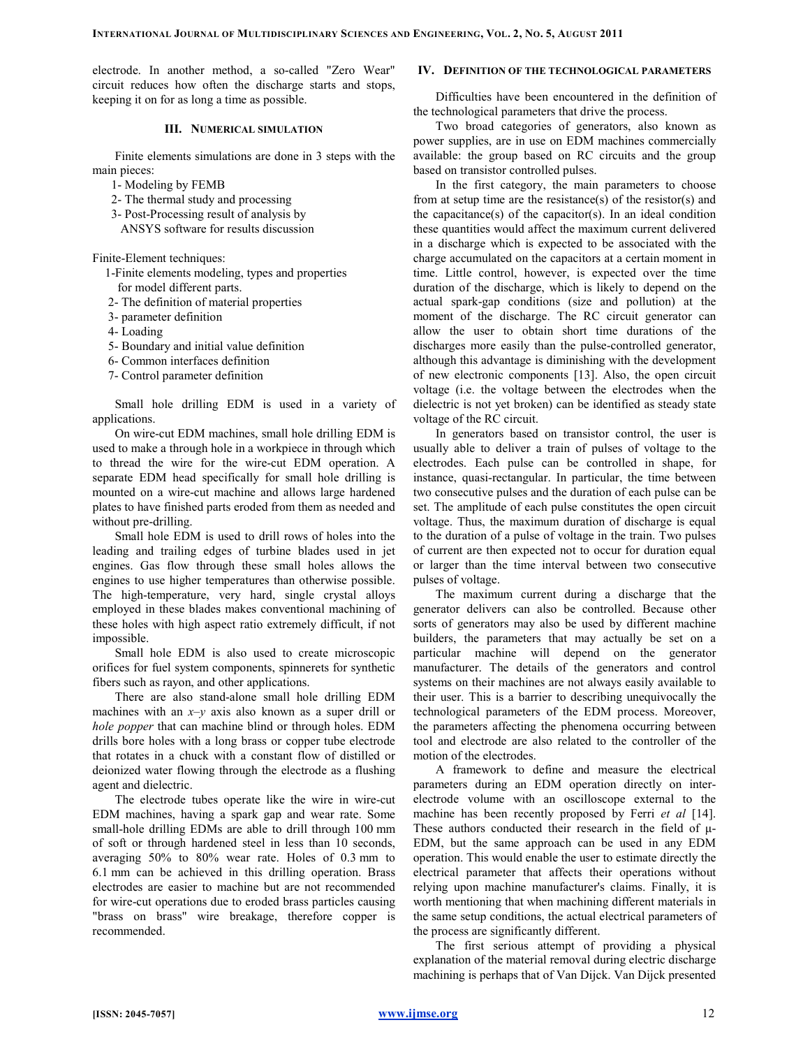electrode. In another method, a so-called "Zero Wear" circuit reduces how often the discharge starts and stops, keeping it on for as long a time as possible.

# III. NUMERICAL SIMULATION

Finite elements simulations are done in 3 steps with the main pieces:

1- Modeling by FEMB

- 2- The thermal study and processing
- 3- Post-Processing result of analysis by
- ANSYS software for results discussion

Finite-Element techniques:

- 1-Finite elements modeling, types and properties for model different parts.
- 2- The definition of material properties
- 3- parameter definition
- 4- Loading
- 5- Boundary and initial value definition
- 6- Common interfaces definition
- 7- Control parameter definition

Small hole drilling EDM is used in a variety of applications.

On wire-cut EDM machines, small hole drilling EDM is used to make a through hole in a workpiece in through which to thread the wire for the wire-cut EDM operation. A separate EDM head specifically for small hole drilling is mounted on a wire-cut machine and allows large hardened plates to have finished parts eroded from them as needed and without pre-drilling.

Small hole EDM is used to drill rows of holes into the leading and trailing edges of turbine blades used in jet engines. Gas flow through these small holes allows the engines to use higher temperatures than otherwise possible. The high-temperature, very hard, single crystal alloys employed in these blades makes conventional machining of these holes with high aspect ratio extremely difficult, if not impossible.

Small hole EDM is also used to create microscopic orifices for fuel system components, spinnerets for synthetic fibers such as rayon, and other applications.

There are also stand-alone small hole drilling EDM machines with an  $x-y$  axis also known as a super drill or hole popper that can machine blind or through holes. EDM drills bore holes with a long brass or copper tube electrode that rotates in a chuck with a constant flow of distilled or deionized water flowing through the electrode as a flushing agent and dielectric.

The electrode tubes operate like the wire in wire-cut EDM machines, having a spark gap and wear rate. Some small-hole drilling EDMs are able to drill through 100 mm of soft or through hardened steel in less than 10 seconds, averaging 50% to 80% wear rate. Holes of 0.3 mm to 6.1 mm can be achieved in this drilling operation. Brass electrodes are easier to machine but are not recommended for wire-cut operations due to eroded brass particles causing "brass on brass" wire breakage, therefore copper is recommended.

# IV. DEFINITION OF THE TECHNOLOGICAL PARAMETERS

Difficulties have been encountered in the definition of the technological parameters that drive the process.

Two broad categories of generators, also known as power supplies, are in use on EDM machines commercially available: the group based on RC circuits and the group based on transistor controlled pulses.

In the first category, the main parameters to choose from at setup time are the resistance(s) of the resistor(s) and the capacitance(s) of the capacitor(s). In an ideal condition these quantities would affect the maximum current delivered in a discharge which is expected to be associated with the charge accumulated on the capacitors at a certain moment in time. Little control, however, is expected over the time duration of the discharge, which is likely to depend on the actual spark-gap conditions (size and pollution) at the moment of the discharge. The RC circuit generator can allow the user to obtain short time durations of the discharges more easily than the pulse-controlled generator, although this advantage is diminishing with the development of new electronic components [13]. Also, the open circuit voltage (i.e. the voltage between the electrodes when the dielectric is not yet broken) can be identified as steady state voltage of the RC circuit.

In generators based on transistor control, the user is usually able to deliver a train of pulses of voltage to the electrodes. Each pulse can be controlled in shape, for instance, quasi-rectangular. In particular, the time between two consecutive pulses and the duration of each pulse can be set. The amplitude of each pulse constitutes the open circuit voltage. Thus, the maximum duration of discharge is equal to the duration of a pulse of voltage in the train. Two pulses of current are then expected not to occur for duration equal or larger than the time interval between two consecutive pulses of voltage.

The maximum current during a discharge that the generator delivers can also be controlled. Because other sorts of generators may also be used by different machine builders, the parameters that may actually be set on a particular machine will depend on the generator manufacturer. The details of the generators and control systems on their machines are not always easily available to their user. This is a barrier to describing unequivocally the technological parameters of the EDM process. Moreover, the parameters affecting the phenomena occurring between tool and electrode are also related to the controller of the motion of the electrodes.

A framework to define and measure the electrical parameters during an EDM operation directly on interelectrode volume with an oscilloscope external to the machine has been recently proposed by Ferri et al [14]. These authors conducted their research in the field of  $\mu$ -EDM, but the same approach can be used in any EDM operation. This would enable the user to estimate directly the electrical parameter that affects their operations without relying upon machine manufacturer's claims. Finally, it is worth mentioning that when machining different materials in the same setup conditions, the actual electrical parameters of the process are significantly different.

The first serious attempt of providing a physical explanation of the material removal during electric discharge machining is perhaps that of Van Dijck. Van Dijck presented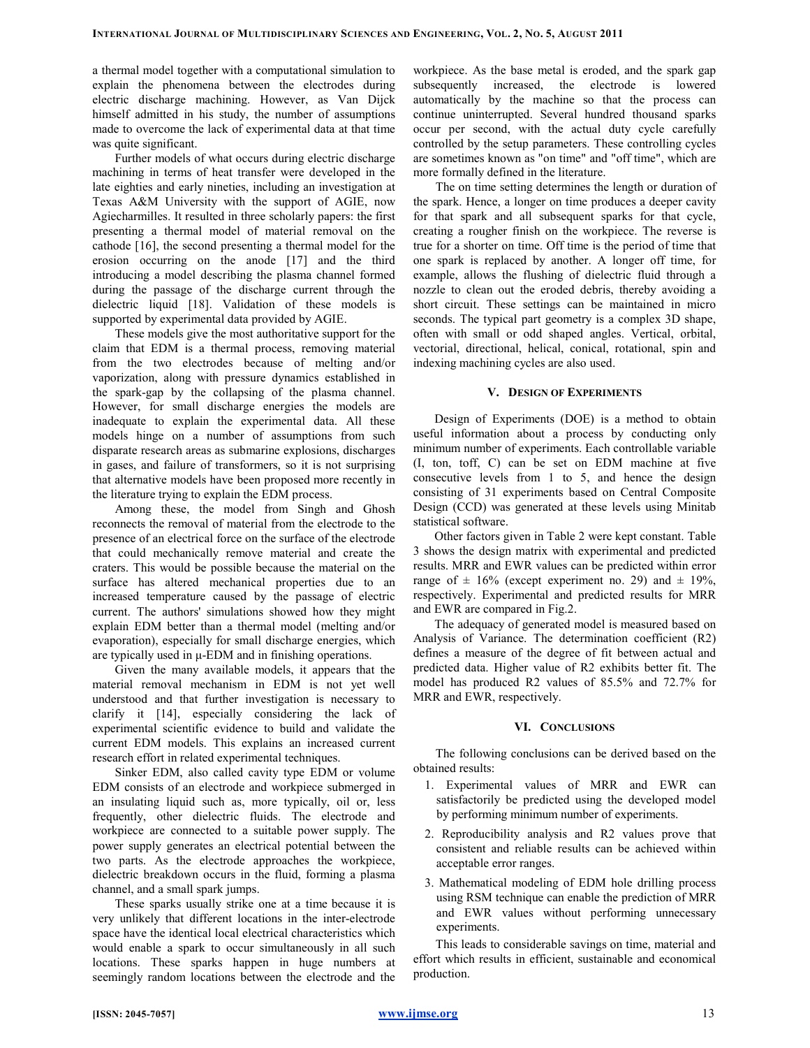a thermal model together with a computational simulation to explain the phenomena between the electrodes during electric discharge machining. However, as Van Dijck himself admitted in his study, the number of assumptions made to overcome the lack of experimental data at that time was quite significant.

Further models of what occurs during electric discharge machining in terms of heat transfer were developed in the late eighties and early nineties, including an investigation at Texas A&M University with the support of AGIE, now Agiecharmilles. It resulted in three scholarly papers: the first presenting a thermal model of material removal on the cathode [16], the second presenting a thermal model for the erosion occurring on the anode [17] and the third introducing a model describing the plasma channel formed during the passage of the discharge current through the dielectric liquid [18]. Validation of these models is supported by experimental data provided by AGIE.

These models give the most authoritative support for the claim that EDM is a thermal process, removing material from the two electrodes because of melting and/or vaporization, along with pressure dynamics established in the spark-gap by the collapsing of the plasma channel. However, for small discharge energies the models are inadequate to explain the experimental data. All these models hinge on a number of assumptions from such disparate research areas as submarine explosions, discharges in gases, and failure of transformers, so it is not surprising that alternative models have been proposed more recently in the literature trying to explain the EDM process.

Among these, the model from Singh and Ghosh reconnects the removal of material from the electrode to the presence of an electrical force on the surface of the electrode that could mechanically remove material and create the craters. This would be possible because the material on the surface has altered mechanical properties due to an increased temperature caused by the passage of electric current. The authors' simulations showed how they might explain EDM better than a thermal model (melting and/or evaporation), especially for small discharge energies, which are typically used in µ-EDM and in finishing operations.

Given the many available models, it appears that the material removal mechanism in EDM is not yet well understood and that further investigation is necessary to clarify it [14], especially considering the lack of experimental scientific evidence to build and validate the current EDM models. This explains an increased current research effort in related experimental techniques.

Sinker EDM, also called cavity type EDM or volume EDM consists of an electrode and workpiece submerged in an insulating liquid such as, more typically, oil or, less frequently, other dielectric fluids. The electrode and workpiece are connected to a suitable power supply. The power supply generates an electrical potential between the two parts. As the electrode approaches the workpiece, dielectric breakdown occurs in the fluid, forming a plasma channel, and a small spark jumps.

These sparks usually strike one at a time because it is very unlikely that different locations in the inter-electrode space have the identical local electrical characteristics which would enable a spark to occur simultaneously in all such locations. These sparks happen in huge numbers at seemingly random locations between the electrode and the workpiece. As the base metal is eroded, and the spark gap subsequently increased, the electrode is lowered automatically by the machine so that the process can continue uninterrupted. Several hundred thousand sparks occur per second, with the actual duty cycle carefully controlled by the setup parameters. These controlling cycles are sometimes known as "on time" and "off time", which are more formally defined in the literature.

The on time setting determines the length or duration of the spark. Hence, a longer on time produces a deeper cavity for that spark and all subsequent sparks for that cycle, creating a rougher finish on the workpiece. The reverse is true for a shorter on time. Off time is the period of time that one spark is replaced by another. A longer off time, for example, allows the flushing of dielectric fluid through a nozzle to clean out the eroded debris, thereby avoiding a short circuit. These settings can be maintained in micro seconds. The typical part geometry is a complex 3D shape, often with small or odd shaped angles. Vertical, orbital, vectorial, directional, helical, conical, rotational, spin and indexing machining cycles are also used.

# V. DESIGN OF EXPERIMENTS

Design of Experiments (DOE) is a method to obtain useful information about a process by conducting only minimum number of experiments. Each controllable variable (I, ton, toff, C) can be set on EDM machine at five consecutive levels from 1 to 5, and hence the design consisting of 31 experiments based on Central Composite Design (CCD) was generated at these levels using Minitab statistical software.

Other factors given in Table 2 were kept constant. Table 3 shows the design matrix with experimental and predicted results. MRR and EWR values can be predicted within error range of  $\pm$  16% (except experiment no. 29) and  $\pm$  19%, respectively. Experimental and predicted results for MRR and EWR are compared in Fig.2.

The adequacy of generated model is measured based on Analysis of Variance. The determination coefficient (R2) defines a measure of the degree of fit between actual and predicted data. Higher value of R2 exhibits better fit. The model has produced R2 values of 85.5% and 72.7% for MRR and EWR, respectively.

## VI. CONCLUSIONS

The following conclusions can be derived based on the obtained results:

- 1. Experimental values of MRR and EWR can satisfactorily be predicted using the developed model by performing minimum number of experiments.
- 2. Reproducibility analysis and R2 values prove that consistent and reliable results can be achieved within acceptable error ranges.
- 3. Mathematical modeling of EDM hole drilling process using RSM technique can enable the prediction of MRR and EWR values without performing unnecessary experiments.

This leads to considerable savings on time, material and effort which results in efficient, sustainable and economical production.